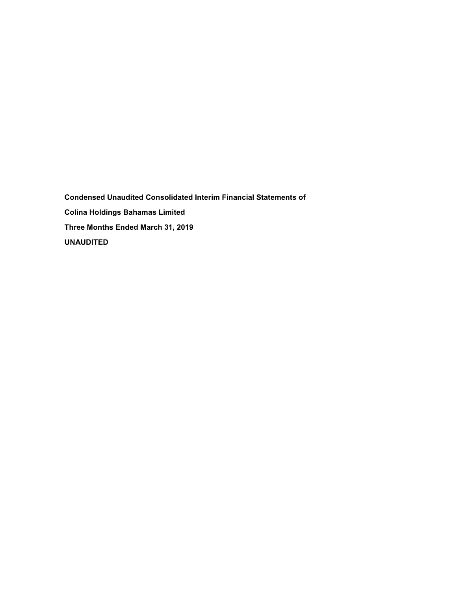**Condensed Unaudited Consolidated Interim Financial Statements of Colina Holdings Bahamas Limited Three Months Ended March 31, 2019 UNAUDITED**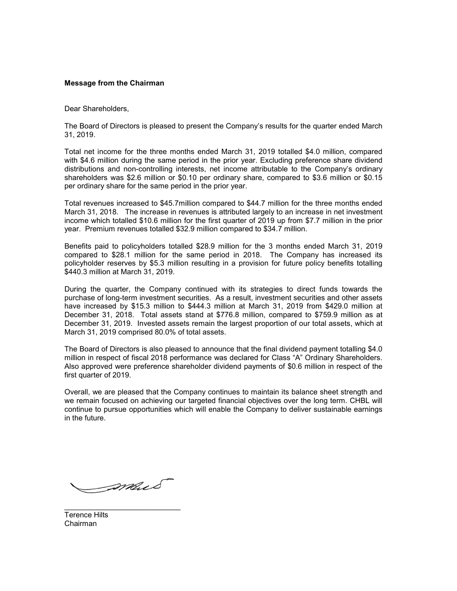# **Message from the Chairman**

Dear Shareholders,

The Board of Directors is pleased to present the Company's results for the quarter ended March 31, 2019.

Total net income for the three months ended March 31, 2019 totalled \$4.0 million, compared with \$4.6 million during the same period in the prior year. Excluding preference share dividend distributions and non-controlling interests, net income attributable to the Company's ordinary shareholders was \$2.6 million or \$0.10 per ordinary share, compared to \$3.6 million or \$0.15 per ordinary share for the same period in the prior year.

Total revenues increased to \$45.7million compared to \$44.7 million for the three months ended March 31, 2018. The increase in revenues is attributed largely to an increase in net investment income which totalled \$10.6 million for the first quarter of 2019 up from \$7.7 million in the prior year. Premium revenues totalled \$32.9 million compared to \$34.7 million.

Benefits paid to policyholders totalled \$28.9 million for the 3 months ended March 31, 2019 compared to \$28.1 million for the same period in 2018. The Company has increased its policyholder reserves by \$5.3 million resulting in a provision for future policy benefits totalling \$440.3 million at March 31, 2019.

During the quarter, the Company continued with its strategies to direct funds towards the purchase of long-term investment securities. As a result, investment securities and other assets have increased by \$15.3 million to \$444.3 million at March 31, 2019 from \$429.0 million at December 31, 2018. Total assets stand at \$776.8 million, compared to \$759.9 million as at December 31, 2019. Invested assets remain the largest proportion of our total assets, which at March 31, 2019 comprised 80.0% of total assets.

The Board of Directors is also pleased to announce that the final dividend payment totalling \$4.0 million in respect of fiscal 2018 performance was declared for Class "A" Ordinary Shareholders. Also approved were preference shareholder dividend payments of \$0.6 million in respect of the first quarter of 2019.

Overall, we are pleased that the Company continues to maintain its balance sheet strength and we remain focused on achieving our targeted financial objectives over the long term. CHBL will continue to pursue opportunities which will enable the Company to deliver sustainable earnings in the future.

mus

\_\_\_\_\_\_\_\_\_\_\_\_\_\_\_\_\_\_\_\_\_\_\_\_\_\_\_\_

Terence Hilts Chairman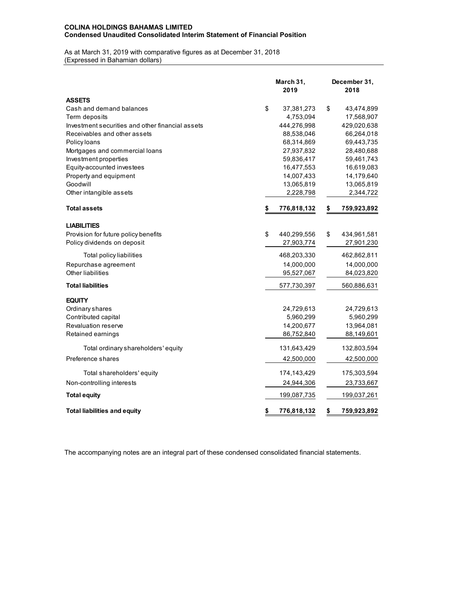# **COLINA HOLDINGS BAHAMAS LIMITED Condensed Unaudited Consolidated Interim Statement of Financial Position**

As at March 31, 2019 with comparative figures as at December 31, 2018 (Expressed in Bahamian dollars)

|                                                  | March 31,<br>2019 | December 31,<br>2018 |             |  |  |
|--------------------------------------------------|-------------------|----------------------|-------------|--|--|
| <b>ASSETS</b>                                    |                   |                      |             |  |  |
| Cash and demand balances                         | \$<br>37,381,273  | \$                   | 43,474,899  |  |  |
| Term deposits                                    | 4,753,094         |                      | 17,568,907  |  |  |
| Investment securities and other financial assets | 444,276,998       |                      | 429,020,638 |  |  |
| Receivables and other assets                     | 88,538,046        |                      | 66,264,018  |  |  |
| Policy loans                                     | 68,314,869        |                      | 69,443,735  |  |  |
| Mortgages and commercial loans                   | 27,937,832        |                      | 28,480,688  |  |  |
| Investment properties                            | 59,836,417        |                      | 59,461,743  |  |  |
| Equity-accounted investees                       | 16,477,553        |                      | 16,619,083  |  |  |
| Property and equipment                           | 14,007,433        |                      | 14,179,640  |  |  |
| Goodwill                                         | 13,065,819        |                      | 13,065,819  |  |  |
| Other intangible assets                          | 2,228,798         |                      | 2,344,722   |  |  |
| <b>Total assets</b>                              | \$<br>776,818,132 | \$                   | 759,923,892 |  |  |
| <b>LIABILITIES</b>                               |                   |                      |             |  |  |
| Provision for future policy benefits             | \$<br>440,299,556 | \$                   | 434,961,581 |  |  |
| Policy dividends on deposit                      | 27,903,774        |                      | 27,901,230  |  |  |
| Total policy liabilities                         | 468,203,330       |                      | 462,862,811 |  |  |
| Repurchase agreement                             | 14,000,000        |                      | 14,000,000  |  |  |
| Other liabilities                                | 95,527,067        |                      | 84,023,820  |  |  |
| <b>Total liabilities</b>                         | 577,730,397       |                      | 560,886,631 |  |  |
| <b>EQUITY</b>                                    |                   |                      |             |  |  |
| Ordinary shares                                  | 24.729,613        |                      | 24,729,613  |  |  |
| Contributed capital                              | 5,960,299         |                      | 5,960,299   |  |  |
| Revaluation reserve                              | 14,200,677        |                      | 13,964,081  |  |  |
| Retained earnings                                | 86,752,840        |                      | 88,149,601  |  |  |
| Total ordinary shareholders' equity              | 131,643,429       |                      | 132,803,594 |  |  |
| Preference shares                                | 42,500,000        |                      | 42,500,000  |  |  |
| Total shareholders' equity                       | 174,143,429       |                      | 175,303,594 |  |  |
| Non-controlling interests                        | 24,944,306        |                      | 23,733,667  |  |  |
| <b>Total equity</b>                              | 199,087,735       |                      | 199,037,261 |  |  |
| <b>Total liabilities and equity</b>              | \$<br>776,818,132 | \$                   | 759,923,892 |  |  |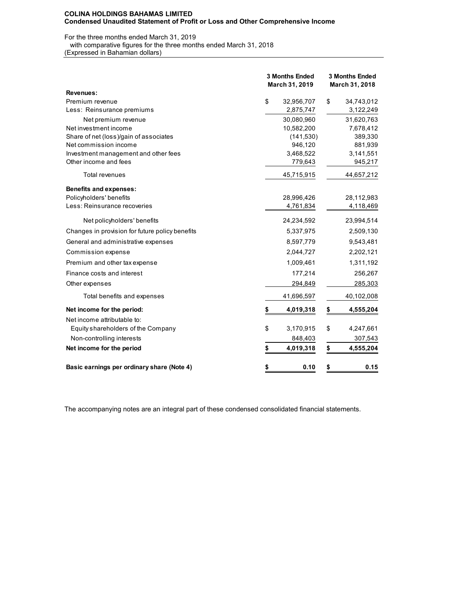## **COLINA HOLDINGS BAHAMAS LIMITED Condensed Unaudited Statement of Profit or Loss and Other Comprehensive Income**

# For the three months ended March 31, 2019

with comparative figures for the three months ended March 31, 2018

(Expressed in Bahamian dollars)

|                                                 | 3 Months Ended<br>March 31, 2019 |            | <b>3 Months Ended</b><br>March 31, 2018 |            |  |  |
|-------------------------------------------------|----------------------------------|------------|-----------------------------------------|------------|--|--|
| Revenues:                                       |                                  |            |                                         |            |  |  |
| Premium revenue                                 | \$                               | 32,956,707 | \$                                      | 34,743,012 |  |  |
| Less: Reinsurance premiums                      |                                  | 2,875,747  |                                         | 3,122,249  |  |  |
| Net premium revenue                             |                                  | 30,080,960 |                                         | 31,620,763 |  |  |
| Net investment income                           |                                  | 10,582,200 |                                         | 7,678,412  |  |  |
| Share of net (loss)/gain of associates          |                                  | (141, 530) |                                         | 389,330    |  |  |
| Net commission income                           |                                  | 946,120    |                                         | 881,939    |  |  |
| Investment management and other fees            |                                  | 3,468,522  |                                         | 3,141,551  |  |  |
| Other income and fees                           |                                  | 779,643    |                                         | 945,217    |  |  |
| Total revenues                                  |                                  | 45,715,915 |                                         | 44,657,212 |  |  |
| <b>Benefits and expenses:</b>                   |                                  |            |                                         |            |  |  |
| Policyholders' benefits                         |                                  | 28,996,426 |                                         | 28,112,983 |  |  |
| Less: Reinsurance recoveries                    |                                  | 4,761,834  |                                         | 4,118,469  |  |  |
| Net policyholders' benefits                     |                                  | 24,234,592 |                                         | 23,994,514 |  |  |
| Changes in provision for future policy benefits |                                  | 5,337,975  |                                         | 2,509,130  |  |  |
| General and administrative expenses             |                                  | 8,597,779  |                                         | 9,543,481  |  |  |
| Commission expense                              |                                  | 2,044,727  |                                         | 2,202,121  |  |  |
| Premium and other tax expense                   |                                  | 1,009,461  |                                         | 1,311,192  |  |  |
| Finance costs and interest                      |                                  | 177,214    |                                         | 256,267    |  |  |
| Other expenses                                  |                                  | 294,849    |                                         | 285,303    |  |  |
| Total benefits and expenses                     |                                  | 41,696,597 |                                         | 40,102,008 |  |  |
| Net income for the period:                      | \$                               | 4,019,318  | \$                                      | 4,555,204  |  |  |
| Net income attributable to:                     |                                  |            |                                         |            |  |  |
| Equity shareholders of the Company              | \$                               | 3,170,915  | \$                                      | 4,247,661  |  |  |
| Non-controlling interests                       |                                  | 848,403    |                                         | 307,543    |  |  |
| Net income for the period                       | \$                               | 4,019,318  | \$                                      | 4,555,204  |  |  |
| Basic earnings per ordinary share (Note 4)      | \$                               | 0.10       | \$                                      | 0.15       |  |  |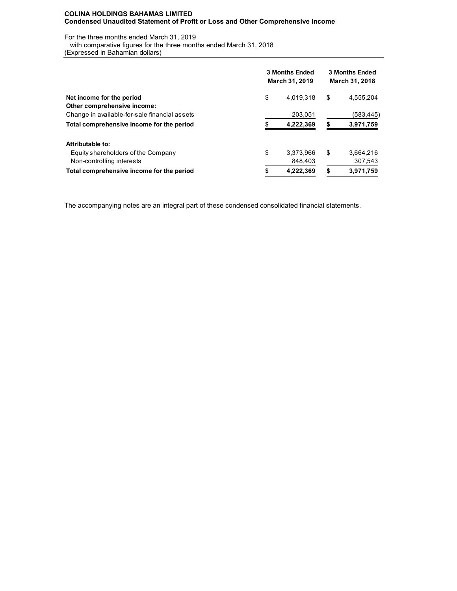## **COLINA HOLDINGS BAHAMAS LIMITED Condensed Unaudited Statement of Profit or Loss and Other Comprehensive Income**

For the three months ended March 31, 2019

with comparative figures for the three months ended March 31, 2018

(Expressed in Bahamian dollars)

|                                               | <b>3 Months Ended</b><br><b>March 31, 2019</b> |           |    | <b>3 Months Ended</b><br><b>March 31, 2018</b> |  |  |  |
|-----------------------------------------------|------------------------------------------------|-----------|----|------------------------------------------------|--|--|--|
| Net income for the period                     | \$                                             | 4,019,318 | \$ | 4.555.204                                      |  |  |  |
| Other comprehensive income:                   |                                                |           |    |                                                |  |  |  |
| Change in available-for-sale financial assets |                                                | 203,051   |    | (583,445)                                      |  |  |  |
| Total comprehensive income for the period     |                                                | 4,222,369 |    | 3,971,759                                      |  |  |  |
| Attributable to:                              |                                                |           |    |                                                |  |  |  |
| Equity shareholders of the Company            | \$                                             | 3,373,966 | \$ | 3,664,216                                      |  |  |  |
| Non-controlling interests                     |                                                | 848,403   |    | 307,543                                        |  |  |  |
| Total comprehensive income for the period     |                                                | 4,222,369 | S  | 3,971,759                                      |  |  |  |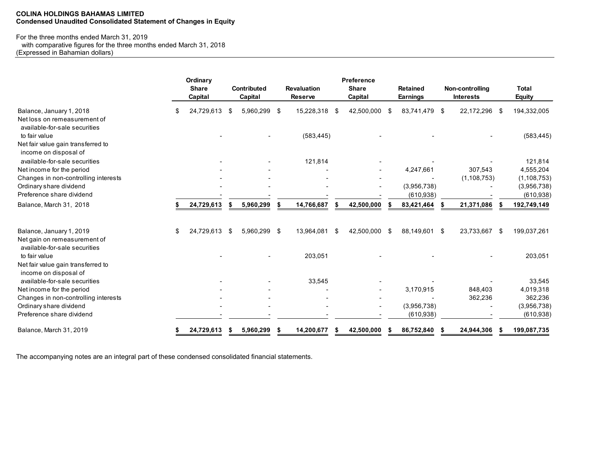## **COLINA HOLDINGS BAHAMAS LIMITED Condensed Unaudited Consolidated Statement of Changes in Equity**

# For the three months ended March 31, 2019

 with comparative figures for the three months ended March 31, 2018 (Expressed in Bahamian dollars)

|                                                                                      |    | Ordinary<br><b>Share</b><br>Capital |      | <b>Contributed</b><br>Capital |   | <b>Revaluation</b><br><b>Reserve</b> |      | <b>Preference</b><br><b>Share</b><br>Capital |      | <b>Retained</b><br>Earnings |      | Non-controlling<br><b>Interests</b> |      | <b>Total</b><br>Equity    |
|--------------------------------------------------------------------------------------|----|-------------------------------------|------|-------------------------------|---|--------------------------------------|------|----------------------------------------------|------|-----------------------------|------|-------------------------------------|------|---------------------------|
| Balance, January 1, 2018<br>Net loss on remeasurement of                             | S  | 24,729,613                          | -\$  | 5,960,299 \$                  |   | 15,228,318                           | -\$  | 42,500,000                                   | - \$ | 83.741.479                  | - \$ | 22,172,296                          | - \$ | 194,332,005               |
| available-for-sale securities<br>to fair value<br>Net fair value gain transferred to |    |                                     |      |                               |   | (583, 445)                           |      |                                              |      |                             |      |                                     |      | (583, 445)                |
| income on disposal of<br>available-for-sale securities                               |    |                                     |      |                               |   | 121,814                              |      |                                              |      |                             |      |                                     |      | 121,814                   |
| Net income for the period                                                            |    |                                     |      |                               |   |                                      |      |                                              |      | 4,247,661                   |      | 307,543                             |      | 4,555,204                 |
| Changes in non-controlling interests                                                 |    |                                     |      |                               |   |                                      |      |                                              |      |                             |      | (1, 108, 753)                       |      | (1, 108, 753)             |
| Ordinary share dividend<br>Preference share dividend                                 |    |                                     |      |                               |   |                                      |      |                                              |      | (3,956,738)<br>(610, 938)   |      |                                     |      | (3,956,738)<br>(610, 938) |
| Balance, March 31, 2018                                                              |    | 24,729,613                          |      | 5,960,299                     |   | 14,766,687                           |      | 42,500,000                                   |      | 83,421,464                  |      | 21,371,086                          |      | 192,749,149               |
| Balance, January 1, 2019<br>Net gain on remeasurement of                             | \$ | 24,729,613                          | - \$ | 5,960,299 \$                  |   | 13,964,081                           | - \$ | 42,500,000 \$                                |      | 88,149,601                  | - \$ | 23,733,667                          | - \$ | 199,037,261               |
| available-for-sale securities<br>to fair value                                       |    |                                     |      |                               |   | 203,051                              |      |                                              |      |                             |      |                                     |      | 203,051                   |
| Net fair value gain transferred to<br>income on disposal of                          |    |                                     |      |                               |   |                                      |      |                                              |      |                             |      |                                     |      |                           |
| available-for-sale securities                                                        |    |                                     |      |                               |   | 33,545                               |      |                                              |      |                             |      |                                     |      | 33,545                    |
| Net income for the period                                                            |    |                                     |      |                               |   |                                      |      |                                              |      | 3,170,915                   |      | 848.403                             |      | 4,019,318                 |
| Changes in non-controlling interests                                                 |    |                                     |      |                               |   |                                      |      |                                              |      |                             |      | 362,236                             |      | 362,236                   |
| Ordinary share dividend<br>Preference share dividend                                 |    |                                     |      |                               |   |                                      |      |                                              |      | (3,956,738)<br>(610, 938)   |      |                                     |      | (3,956,738)<br>(610, 938) |
| Balance, March 31, 2019                                                              |    | 24,729,613                          |      | 5,960,299                     | S | 14,200,677                           |      | 42,500,000                                   |      | 86,752,840                  |      | 24,944,306                          |      | 199,087,735               |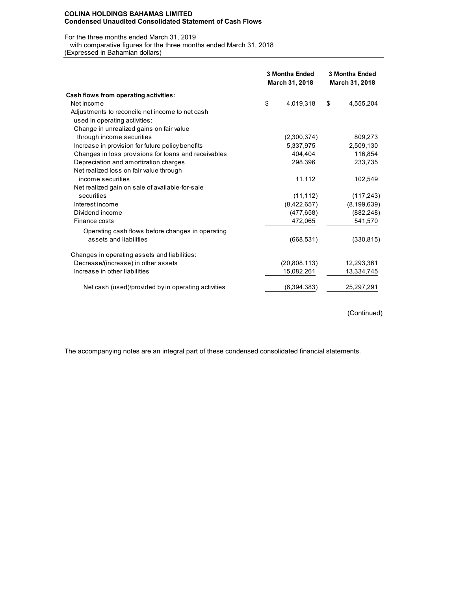#### **COLINA HOLDINGS BAHAMAS LIMITED Condensed Unaudited Consolidated Statement of Cash Flows**

#### For the three months ended March 31, 2019

with comparative figures for the three months ended March 31, 2018

(Expressed in Bahamian dollars)

|                                                      | <b>3 Months Ended</b><br>March 31, 2018 | <b>3 Months Ended</b><br>March 31, 2018 |
|------------------------------------------------------|-----------------------------------------|-----------------------------------------|
| Cash flows from operating activities:                |                                         |                                         |
| Net income                                           | \$<br>4,019,318                         | \$<br>4,555,204                         |
| Adjustments to reconcile net income to net cash      |                                         |                                         |
| used in operating activities:                        |                                         |                                         |
| Change in unrealized gains on fair value             |                                         |                                         |
| through income securities                            | (2,300,374)                             | 809,273                                 |
| Increase in provision for future policy benefits     | 5,337,975                               | 2,509,130                               |
| Changes in loss provisions for loans and receivables | 404,404                                 | 116,854                                 |
| Depreciation and amortization charges                | 298,396                                 | 233,735                                 |
| Net realized loss on fair value through              |                                         |                                         |
| income securities                                    | 11,112                                  | 102,549                                 |
| Net realized gain on sale of available-for-sale      |                                         |                                         |
| securities                                           | (11, 112)                               | (117, 243)                              |
| Interest income                                      | (8,422,657)                             | (8, 199, 639)                           |
| Dividend income                                      | (477, 658)                              | (882, 248)                              |
| Finance costs                                        | 472,065                                 | 541,570                                 |
| Operating cash flows before changes in operating     |                                         |                                         |
| assets and liabilities                               | (668, 531)                              | (330, 815)                              |
| Changes in operating assets and liabilities:         |                                         |                                         |
| Decrease/(increase) in other assets                  | (20,808,113)                            | 12,293,361                              |
| Increase in other liabilities                        | 15,082,261                              | 13,334,745                              |
| Net cash (used)/provided by in operating activities  | (6, 394, 383)                           | 25,297,291                              |

(Continued)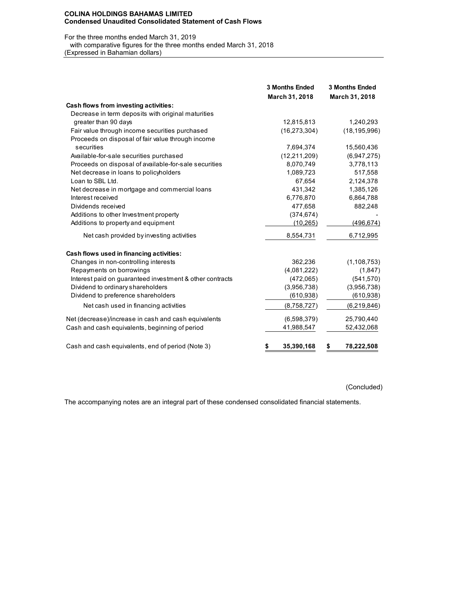#### **COLINA HOLDINGS BAHAMAS LIMITED Condensed Unaudited Consolidated Statement of Cash Flows**

For the three months ended March 31, 2019 with comparative figures for the three months ended March 31, 2018 (Expressed in Bahamian dollars)

|                                                          | <b>3 Months Ended</b><br>March 31, 2018 | <b>3 Months Ended</b><br>March 31, 2018 |
|----------------------------------------------------------|-----------------------------------------|-----------------------------------------|
| Cash flows from investing activities:                    |                                         |                                         |
| Decrease in term deposits with original maturities       |                                         |                                         |
| greater than 90 days                                     | 12,815,813                              | 1,240,293                               |
| Fair value through income securities purchased           | (16, 273, 304)                          | (18, 195, 996)                          |
| Proceeds on disposal of fair value through income        |                                         |                                         |
| securities                                               | 7,694,374                               | 15,560,436                              |
| Available-for-sale securities purchased                  | (12, 211, 209)                          | (6,947,275)                             |
| Proceeds on disposal of available-for-sale securities    | 8,070,749                               | 3,778,113                               |
| Net decrease in loans to policyholders                   | 1,089,723                               | 517,558                                 |
| Loan to SBL Ltd.                                         | 67,654                                  | 2,124,378                               |
| Net decrease in mortgage and commercial loans            | 431,342                                 | 1,385,126                               |
| Interest received                                        | 6,776,870                               | 6,864,788                               |
| Dividends received                                       | 477,658                                 | 882,248                                 |
| Additions to other Investment property                   | (374, 674)                              |                                         |
| Additions to property and equipment                      | (10, 265)                               | (496, 674)                              |
| Net cash provided by investing activities                | 8,554,731                               | 6,712,995                               |
| Cash flows used in financing activities:                 |                                         |                                         |
| Changes in non-controlling interests                     | 362,236                                 | (1, 108, 753)                           |
| Repayments on borrowings                                 | (4,081,222)                             | (1, 847)                                |
| Interest paid on guaranteed investment & other contracts | (472,065)                               | (541, 570)                              |
| Dividend to ordinary shareholders                        | (3,956,738)                             | (3,956,738)                             |
| Dividend to preference shareholders                      | (610, 938)                              | (610, 938)                              |
| Net cash used in financing activities                    | (8,758,727)                             | (6, 219, 846)                           |
| Net (decrease)/increase in cash and cash equivalents     | (6,598,379)                             | 25,790,440                              |
| Cash and cash equivalents, beginning of period           | 41,988,547                              | 52,432,068                              |
| Cash and cash equivalents, end of period (Note 3)        | \$<br>35,390,168                        | 78,222,508<br>\$                        |

(Concluded)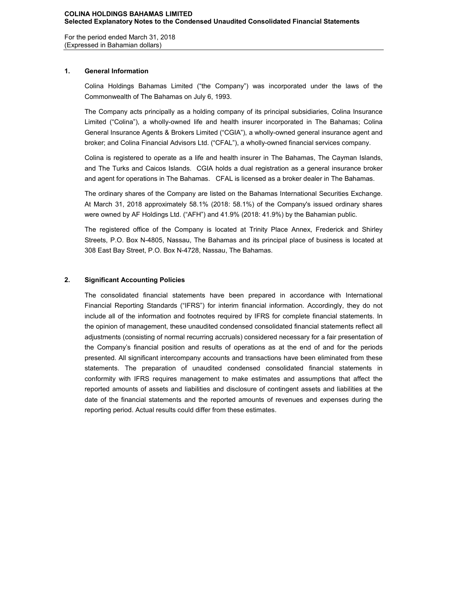For the period ended March 31, 2018 (Expressed in Bahamian dollars)

# **1. General Information**

Colina Holdings Bahamas Limited ("the Company") was incorporated under the laws of the Commonwealth of The Bahamas on July 6, 1993.

The Company acts principally as a holding company of its principal subsidiaries, Colina Insurance Limited ("Colina"), a wholly-owned life and health insurer incorporated in The Bahamas; Colina General Insurance Agents & Brokers Limited ("CGIA"), a wholly-owned general insurance agent and broker; and Colina Financial Advisors Ltd. ("CFAL"), a wholly-owned financial services company.

Colina is registered to operate as a life and health insurer in The Bahamas, The Cayman Islands, and The Turks and Caicos Islands. CGIA holds a dual registration as a general insurance broker and agent for operations in The Bahamas. CFAL is licensed as a broker dealer in The Bahamas.

The ordinary shares of the Company are listed on the Bahamas International Securities Exchange. At March 31, 2018 approximately 58.1% (2018: 58.1%) of the Company's issued ordinary shares were owned by AF Holdings Ltd. ("AFH") and 41.9% (2018: 41.9%) by the Bahamian public.

The registered office of the Company is located at Trinity Place Annex, Frederick and Shirley Streets, P.O. Box N-4805, Nassau, The Bahamas and its principal place of business is located at 308 East Bay Street, P.O. Box N-4728, Nassau, The Bahamas.

# **2. Significant Accounting Policies**

The consolidated financial statements have been prepared in accordance with International Financial Reporting Standards ("IFRS") for interim financial information. Accordingly, they do not include all of the information and footnotes required by IFRS for complete financial statements. In the opinion of management, these unaudited condensed consolidated financial statements reflect all adjustments (consisting of normal recurring accruals) considered necessary for a fair presentation of the Company's financial position and results of operations as at the end of and for the periods presented. All significant intercompany accounts and transactions have been eliminated from these statements. The preparation of unaudited condensed consolidated financial statements in conformity with IFRS requires management to make estimates and assumptions that affect the reported amounts of assets and liabilities and disclosure of contingent assets and liabilities at the date of the financial statements and the reported amounts of revenues and expenses during the reporting period. Actual results could differ from these estimates.